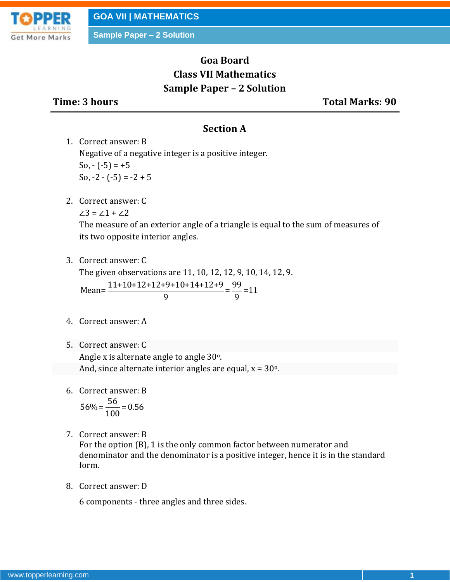

# **Goa Board Class VII Mathematics Sample Paper – 2 Solution**

**Time: 3 hours Total Marks: 90**

#### **Section A**

1. Correct answer: B Negative of a negative integer is a positive integer. So,  $-(-5) = +5$ So,  $-2 - (-5) = -2 + 5$ 

2. Correct answer: C

 $\angle 3 = \angle 1 + \angle 2$ 

The measure of an exterior angle of a triangle is equal to the sum of measures of its two opposite interior angles.

3. Correct answer: C

The given observations are 11, 10, 12, 12, 9, 10, 14, 12, 9. The given observations are 11, 10, 12, 12, 9, 10,<br>Mean= $\frac{11+10+12+12+9+10+14+12+9}{9} = \frac{99}{9} = 11$  $\frac{19+10+14+12+9}{9} = \frac{99}{9}$ 

- 4. Correct answer: A
- 5. Correct answer: C

Angle x is alternate angle to angle 30°. And, since alternate interior angles are equal,  $x = 30^\circ$ .

6. Correct answer: B

$$
56\% = \frac{56}{100} = 0.56
$$

7. Correct answer: B

For the option (B), 1 is the only common factor between numerator and denominator and the denominator is a positive integer, hence it is in the standard form.

8. Correct answer: D

6 components - three angles and three sides.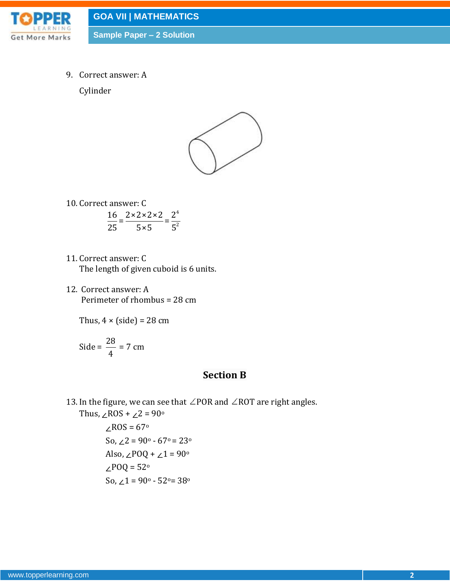

**GOA VII | MATHEMATICS**

**Sample Paper – 2 Solution**

9. Correct answer: A

Cylinder



- 10. Correct answer: C 4 2  $\frac{16}{25} = \frac{2 \times 2 \times 2 \times 2}{5} = \frac{2}{5}$  $\frac{25}{25} = \frac{3}{5} = \frac{1}{5}$
- 11. Correct answer: C The length of given cuboid is 6 units.
- 12. Correct answer: A Perimeter of rhombus = 28 cm

Thus,  $4 \times (side) = 28$  cm

$$
Side = \frac{28}{4} = 7 \text{ cm}
$$

### **Section B**

13. In the figure, we can see that  $\angle$  POR and  $\angle$  ROT are right angles.

Thus,  $∠ROS + ∠2 = 90°$ ∠ROS = 67<sup>o</sup>

So,  $∠2 = 90° - 67° = 23°$ Also,  $∠POQ + ∠1 = 90°$ ∠POQ = 52<sup>o</sup> So,  $∠1 = 90° - 52° = 38°$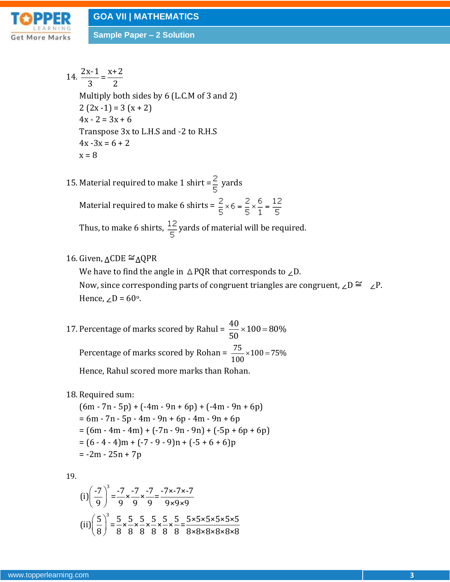

14. 
$$
\frac{2x-1}{3} = \frac{x+2}{2}
$$
  
\nMultiply both sides by 6 (L.C.M of 3 and 2)  
\n2 (2x - 1) = 3 (x + 2)  
\n4x - 2 = 3x + 6  
\nTranspose 3x to L.H.S and -2 to R.H.S  
\n4x - 3x = 6 + 2  
\nx = 8

- 15. Material required to make 1 shirt =  $\frac{2}{5}$  yards Material required to make 6 shirts =  $\frac{2}{5} \times 6 = \frac{2}{5} \times \frac{6}{1} = \frac{12}{5}$ Thus, to make 6 shirts,  $\frac{12}{5}$  yards of material will be required.
- 16. Given,  $\triangle$ CDE  $\cong$   $\triangle$ QPR

We have to find the angle in  $\triangle$  PQR that corresponds to ∠D. Now, since corresponding parts of congruent triangles are congruent, ∠D  $\cong$  ∠P. Hence,  $\angle D = 60^\circ$ .

- 17. Percentage of marks scored by Rahul =  $\frac{40}{70} \times 100 = 80\%$ 50 Percentage of marks scored by Rohan =  $\frac{75}{100} \times 100 = 75\%$ 100 Hence, Rahul scored more marks than Rohan.
- 18. Required sum:

 $(6m - 7n - 5p) + (-4m - 9n + 6p) + (-4m - 9n + 6p)$  $= 6m - 7n - 5p - 4m - 9n + 6p - 4m - 9n + 6p$  $= (6m - 4m - 4m) + (-7n - 9n - 9n) + (-5p + 6p + 6p)$  $= (6 - 4 - 4)m + (-7 - 9 - 9)n + (-5 + 6 + 6)p$  $= -2m - 25n + 7p$ 

19.

$$
(i) \left(\frac{-7}{9}\right)^3 = \frac{-7}{9} \times \frac{-7}{9} \times \frac{-7}{9} = \frac{-7 \times -7 \times -7}{9 \times 9 \times 9}
$$

$$
(ii) \left(\frac{5}{8}\right)^3 = \frac{5}{8} \times \frac{5}{8} \times \frac{5}{8} \times \frac{5}{8} \times \frac{5}{8} \times \frac{5}{8} = \frac{5 \times 5 \times 5 \times 5 \times 5 \times 5}{8 \times 8 \times 8 \times 8 \times 8}
$$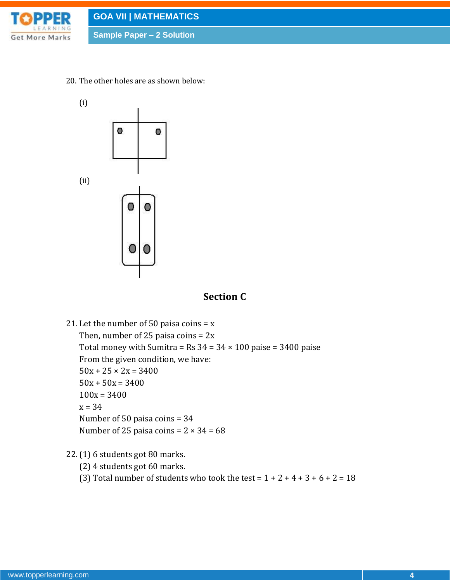

20. The other holes are as shown below:



## **Section C**

21. Let the number of 50 paisa coins  $= x$ Then, number of 25 paisa coins =  $2x$ Total money with Sumitra = Rs  $34 = 34 \times 100$  paise = 3400 paise From the given condition, we have:  $50x + 25 \times 2x = 3400$  $50x + 50x = 3400$  $100x = 3400$  $x = 34$ Number of 50 paisa coins = 34 Number of 25 paisa coins =  $2 \times 34 = 68$ 

#### 22.(1) 6 students got 80 marks.

- (2) 4 students got 60 marks.
- (3) Total number of students who took the test =  $1 + 2 + 4 + 3 + 6 + 2 = 18$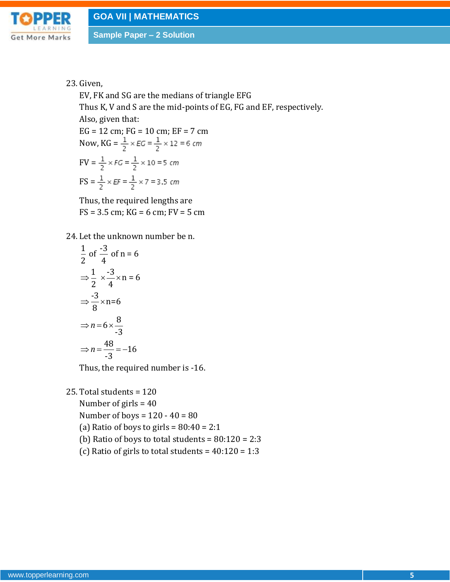

#### 23. Given,

EV, FK and SG are the medians of triangle EFG Thus K, V and S are the mid-points of EG, FG and EF, respectively. Also, given that: EG = 12 cm; FG = 10 cm; EF = 7 cm Now,  $KG = \frac{1}{2} \times EG = \frac{1}{2} \times 12 = 6$  cm  $\text{FV} = \frac{1}{2} \times FG = \frac{1}{2} \times 10 = 5 \text{ cm}$  $FS = \frac{1}{2} \times EF = \frac{1}{2} \times 7 = 3.5$  cm

Thus, the required lengths are  $FS = 3.5$  cm;  $KG = 6$  cm;  $FV = 5$  cm

24. Let the unknown number be n.

$$
\frac{1}{2} \text{ of } \frac{-3}{4} \text{ of } n = 6
$$
  
\n
$$
\Rightarrow \frac{1}{2} \times \frac{-3}{4} \times n = 6
$$
  
\n
$$
\Rightarrow \frac{-3}{8} \times n = 6
$$
  
\n
$$
\Rightarrow n = 6 \times \frac{8}{-3}
$$
  
\n
$$
\Rightarrow n = \frac{48}{-3} = -16
$$

Thus, the required number is -16.

25. Total students = 120

Number of girls = 40 Number of boys =  $120 - 40 = 80$ (a) Ratio of boys to girls =  $80:40 = 2:1$ (b) Ratio of boys to total students =  $80:120 = 2:3$ 

(c) Ratio of girls to total students =  $40:120 = 1:3$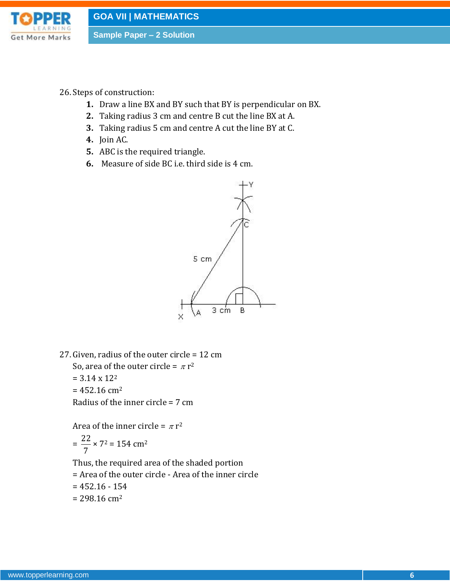

- 26.Steps of construction:
	- **1.** Draw a line BX and BY such that BY is perpendicular on BX.
	- **2.** Taking radius 3 cm and centre B cut the line BX at A.
	- **3.** Taking radius 5 cm and centre A cut the line BY at C.
	- **4.** Join AC.
	- **5.** ABC is the required triangle.
	- **6.** Measure of side BC i.e. third side is 4 cm.



27. Given, radius of the outer circle = 12 cm So, area of the outer circle =  $\pi$  r<sup>2</sup>  $= 3.14 \times 12^2$  $= 452.16$  cm<sup>2</sup>

Radius of the inner circle = 7 cm

Area of the inner circle =  $\pi r^2$  $=\frac{22}{7}$ 7  $\times$  7<sup>2</sup> = 154 cm<sup>2</sup>

Thus, the required area of the shaded portion

- = Area of the outer circle Area of the inner circle
- $= 452.16 154$
- $= 298.16$  cm<sup>2</sup>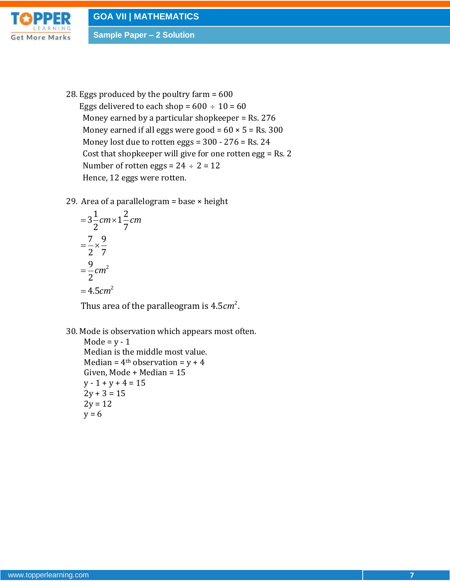

28. Eggs produced by the poultry farm = 600 Eggs delivered to each shop =  $600 \div 10 = 60$ Money earned by a particular shopkeeper = Rs. 276 Money earned if all eggs were good =  $60 \times 5$  = Rs. 300 Money lost due to rotten eggs = 300 - 276 = Rs. 24 Cost that shopkeeper will give for one rotten egg = Rs. 2 Number of rotten eggs =  $24 \div 2 = 12$ 

Hence, 12 eggs were rotten.

29. Area of a parallelogram = base × height<br>=  $3\frac{1}{2}$ *cm* ×  $1\frac{2}{7}$ *cm* 

$$
=3\frac{1}{2}cm\times1\frac{2}{7}c
$$

$$
=\frac{7}{2}\times\frac{9}{7}
$$

$$
=\frac{9}{2}cm^{2}
$$

$$
=4.5cm^{2}
$$

2 = 4.5 $cm^2$ <br>Thus area of the paralleogram is 4.5 $cm^2$ .

30. Mode is observation which appears most often.

Mode =  $y - 1$ Median is the middle most value. Median =  $4<sup>th</sup>$  observation =  $y + 4$ Given, Mode + Median = 15  $y - 1 + y + 4 = 15$  $2y + 3 = 15$  $2y = 12$  $y = 6$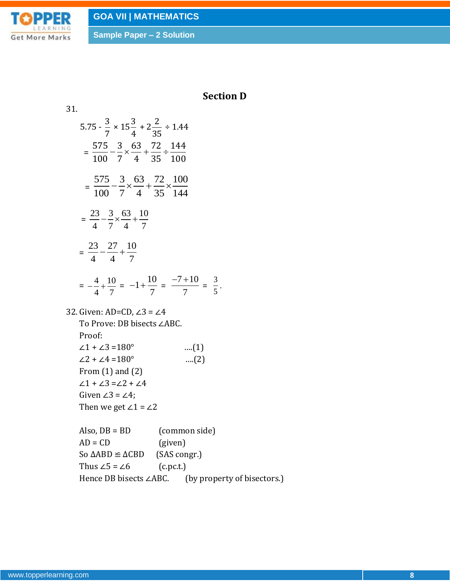

## **Section D**

31.  
\n5.75 
$$
-\frac{3}{7} \times 15\frac{3}{4} + 2\frac{2}{35} \div 1.44
$$
  
\n $= \frac{575}{100} - \frac{3}{7} \times \frac{63}{4} + \frac{72}{35} \div \frac{144}{100}$   
\n $= \frac{575}{100} - \frac{3}{7} \times \frac{63}{4} + \frac{72}{35} \times \frac{100}{144}$   
\n $= \frac{23}{4} - \frac{3}{7} \times \frac{63}{4} + \frac{10}{7}$   
\n $= \frac{23}{4} - \frac{27}{4} + \frac{10}{7}$   
\n $= -\frac{4}{4} + \frac{10}{7} = -1 + \frac{10}{7} = \frac{-7 + 10}{7} = \frac{3}{5}$ .  
\n32. Given: AD=CD,  $\angle 3 = \angle 4$   
\nTo Prove: DB bisects  $\angle ABC$ .  
\nProof:  
\n $\angle 1 + \angle 3 = 180^\circ$  ....(1)  
\n $\angle 2 + \angle 4 = 180^\circ$  ....(2)  
\nFrom (1) and (2)  
\n $\angle 1 + \angle 3 = \angle 2 + \angle 4$   
\nGiven  $\angle 3 = 24$ .  
\nThen we get  $\angle 1 = \angle 2$   
\nAlso, DB = BD (common side)  
\nAD = CD (given)  
\nSo  $\triangle ABD \cong \triangle ABD$  (SAS congr.)  
\nThus  $\angle 5 = \angle 6$  (c.p.c.)  
\nHence DB bisects  $\angle ABC$ . (by property of bisectors.)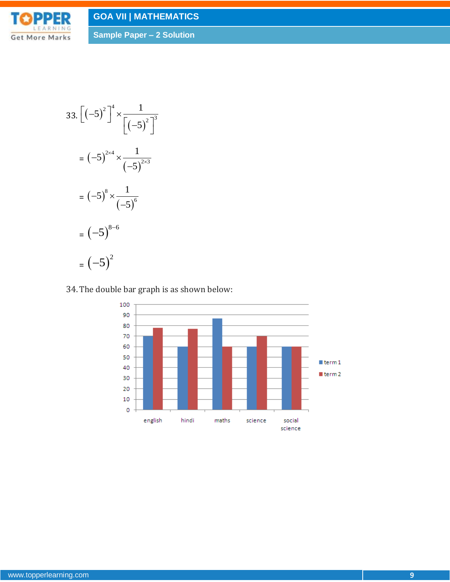# **GOA VII | MATHEMATICS**



**Sample Paper – 2 Solution**

$$
33. [(-5)^{2}]^{4} \times \frac{1}{[(-5)^{2}]^{3}}
$$
  
= (-5)^{2 \times 4} \times \frac{1}{(-5)^{2 \times 3}}  
= (-5)^{8} \times \frac{1}{(-5)^{6}}  
= (-5)^{8-6}  
= (-5)^{2}

## 34.The double bar graph is as shown below:

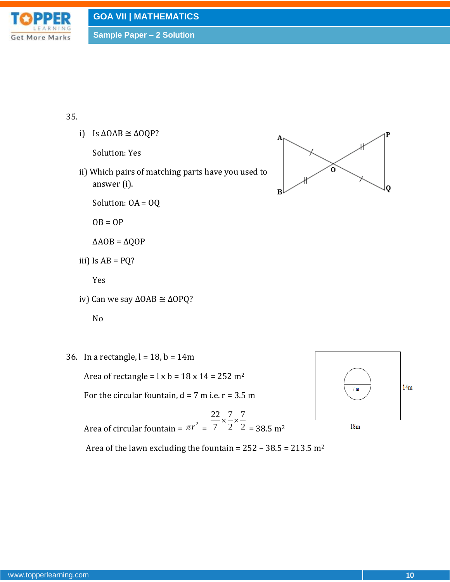

#### 35.

i) Is  $\triangle OAB \cong \triangle OQP?$ 

Solution: Yes

ii) Which pairs of matching parts have you used to answer (i).

Solution: OA = OQ

 $OB = OP$ 

 $\triangle AOB = \triangle QOP$ 

iii) Is  $AB = PQ$ ?

Yes

iv) Can we say ∆OAB ≅ ∆OPQ?

No

36. In a rectangle,  $l = 18$ ,  $b = 14$ m

Area of rectangle =  $\lg b$  = 18 x 14 = 252 m<sup>2</sup>

For the circular fountain,  $d = 7$  m i.e.  $r = 3.5$  m

Area of circular fountain =  $\pi r^2$  = 22 7 7 7 2 2  $x - x$  $= 38.5 \text{ m}^2$ 



Area of the lawn excluding the fountain =  $252 - 38.5 = 213.5$  m<sup>2</sup>

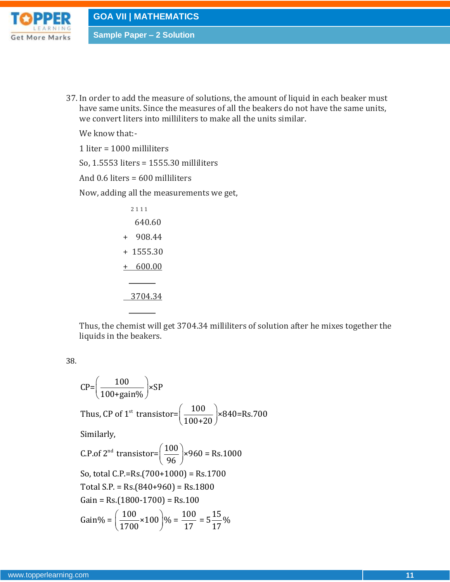

37. In order to add the measure of solutions, the amount of liquid in each beaker must have same units. Since the measures of all the beakers do not have the same units, we convert liters into milliliters to make all the units similar.

We know that:-

1 liter = 1000 milliliters

So, 1.5553 liters = 1555.30 milliliters

And 0.6 liters = 600 milliliters

Now, adding all the measurements we get,

| 2111          |
|---------------|
| 640.60        |
| 908.44<br>$+$ |
| $+1555.30$    |
| 600.00<br>$+$ |
|               |
| 3704.34       |

Thus, the chemist will get 3704.34 milliliters of solution after he mixes together the liquids in the beakers.

38.

$$
CP = \left(\frac{100}{100 + \text{gain}\%}\right) \times SP
$$
  
\nThus, CP of 1<sup>st</sup> transistor= $\left(\frac{100}{100 + 20}\right) \times 840 = Rs.700$   
\nSimilarly,  
\nC.P. of 2<sup>nd</sup> transistor= $\left(\frac{100}{96}\right) \times 960 = Rs.1000$   
\nSo, total C.P.=Rs.(700+1000) = Rs.1700  
\nTotal S.P. = Rs.(840+960) = Rs.1800  
\nGain = Rs.(1800-1700) = Rs.100  
\nGain%= $\left(\frac{100}{1700} \times 100\right) \% = \frac{100}{17} = 5\frac{15}{17}\%$